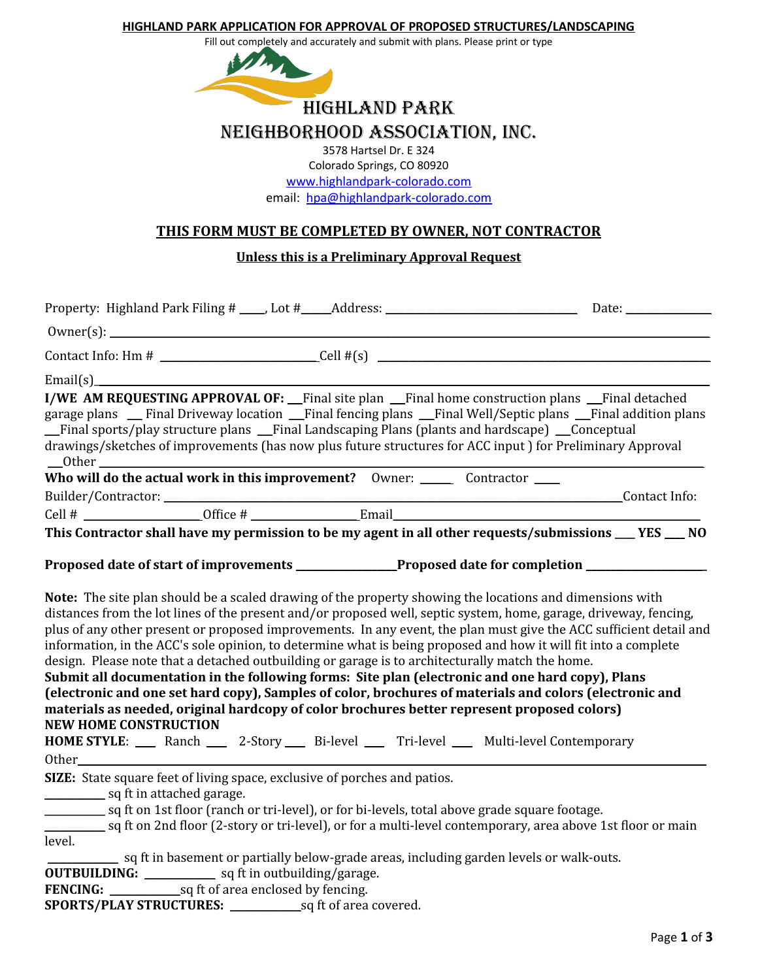#### **HIGHLAND PARK APPLICATION FOR APPROVAL OF PROPOSED STRUCTURES/LANDSCAPING**

Fill out completely and accurately and submit with plans. Please print or type



nEIGHBORHOOD ASSOCIATION, INC.

3578 Hartsel Dr. E 324 Colorado Springs, CO 80920 [www.highlandpark-colorado.com](http://www.highlandpark-colorado.com/) email: [hpa@highlandpark-colorado.com](../../../../../../Highland%20Park%20Association/ACC/Forms/hpa@highlandpark-colorado.com)

# **THIS FORM MUST BE COMPLETED BY OWNER, NOT CONTRACTOR**

## **Unless this is a Preliminary Approval Request**

| Contact Info: Hm # $\_\_\_\_\_\_\_$ Cell #(s) $\_\_\_\_\_\_\_\_\_\_\_\_$                                                                                                                                                                                                                                                                                                                                                                                                                                                                                                                                                                                                                                                                                                                          |  |  |                                                                                         |                                                                                                                    |
|---------------------------------------------------------------------------------------------------------------------------------------------------------------------------------------------------------------------------------------------------------------------------------------------------------------------------------------------------------------------------------------------------------------------------------------------------------------------------------------------------------------------------------------------------------------------------------------------------------------------------------------------------------------------------------------------------------------------------------------------------------------------------------------------------|--|--|-----------------------------------------------------------------------------------------|--------------------------------------------------------------------------------------------------------------------|
|                                                                                                                                                                                                                                                                                                                                                                                                                                                                                                                                                                                                                                                                                                                                                                                                   |  |  |                                                                                         |                                                                                                                    |
| I/WE AM REQUESTING APPROVAL OF: Final site plan Final home construction plans Final detached<br>garage plans  garege plans  garege plans  garege plans garege plans garege plans garege plans garege plans garege plans garege plans garege plans garege plans garege plans garege plans garege plans garege plans garege plan<br>Final sports/play structure plans __Final Landscaping Plans (plants and hardscape) __Conceptual<br>drawings/sketches of improvements (has now plus future structures for ACC input) for Preliminary Approval                                                                                                                                                                                                                                                    |  |  |                                                                                         |                                                                                                                    |
|                                                                                                                                                                                                                                                                                                                                                                                                                                                                                                                                                                                                                                                                                                                                                                                                   |  |  |                                                                                         |                                                                                                                    |
|                                                                                                                                                                                                                                                                                                                                                                                                                                                                                                                                                                                                                                                                                                                                                                                                   |  |  |                                                                                         |                                                                                                                    |
| Cell # $\rule{1em}{0.15mm}$ Office # $\rule{1em}{0.15mm}$ Email $\rule{1em}{0.15mm}$ Email $\rule{1em}{0.15mm}$                                                                                                                                                                                                                                                                                                                                                                                                                                                                                                                                                                                                                                                                                   |  |  |                                                                                         |                                                                                                                    |
| This Contractor shall have my permission to be my agent in all other requests/submissions __ YES __ NO                                                                                                                                                                                                                                                                                                                                                                                                                                                                                                                                                                                                                                                                                            |  |  |                                                                                         |                                                                                                                    |
| Proposed date of start of improvements ______________Proposed date for completion ___________                                                                                                                                                                                                                                                                                                                                                                                                                                                                                                                                                                                                                                                                                                     |  |  |                                                                                         |                                                                                                                    |
| Note: The site plan should be a scaled drawing of the property showing the locations and dimensions with<br>distances from the lot lines of the present and/or proposed well, septic system, home, garage, driveway, fencing,<br>information, in the ACC's sole opinion, to determine what is being proposed and how it will fit into a complete<br>design. Please note that a detached outbuilding or garage is to architecturally match the home.<br>Submit all documentation in the following forms: Site plan (electronic and one hard copy), Plans<br>(electronic and one set hard copy), Samples of color, brochures of materials and colors (electronic and<br>materials as needed, original hardcopy of color brochures better represent proposed colors)<br><b>NEW HOME CONSTRUCTION</b> |  |  |                                                                                         | plus of any other present or proposed improvements. In any event, the plan must give the ACC sufficient detail and |
| HOME STYLE: __ Ranch __ 2-Story __ Bi-level __ Tri-level __ Multi-level Contemporary<br>Other and the contract of the contract of the contract of the contract of the contract of the contract of the contract of the contract of the contract of the contract of the contract of the contract of the contract of the                                                                                                                                                                                                                                                                                                                                                                                                                                                                             |  |  |                                                                                         |                                                                                                                    |
| SIZE: State square feet of living space, exclusive of porches and patios.<br>sq ft on 1st floor (ranch or tri-level), or for bi-levels, total above grade square footage.<br>sq ft on 2nd floor (2-story or tri-level), or for a multi-level contemporary, area above 1st floor or main<br>level.                                                                                                                                                                                                                                                                                                                                                                                                                                                                                                 |  |  | sq ft in basement or partially below-grade areas, including garden levels or walk-outs. |                                                                                                                    |
|                                                                                                                                                                                                                                                                                                                                                                                                                                                                                                                                                                                                                                                                                                                                                                                                   |  |  |                                                                                         |                                                                                                                    |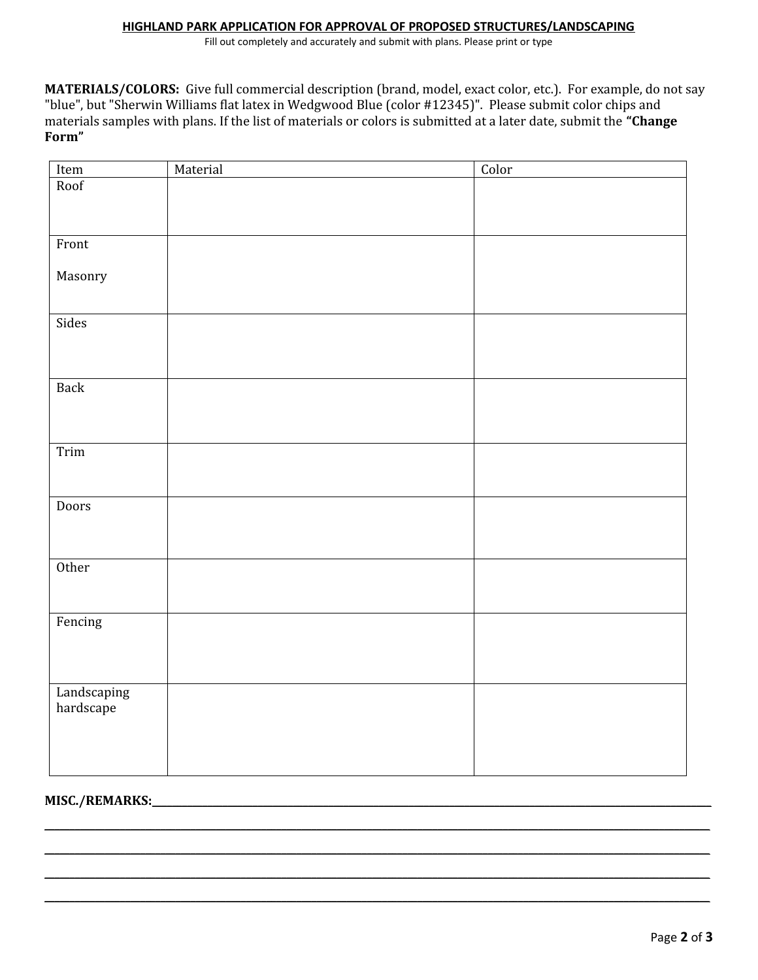#### **HIGHLAND PARK APPLICATION FOR APPROVAL OF PROPOSED STRUCTURES/LANDSCAPING**

Fill out completely and accurately and submit with plans. Please print or type

**MATERIALS/COLORS:** Give full commercial description (brand, model, exact color, etc.). For example, do not say "blue", but "Sherwin Williams flat latex in Wedgwood Blue (color #12345)". Please submit color chips and materials samples with plans. If the list of materials or colors is submitted at a later date, submit the **"Change Form"**

| Item                     | Material | Color |
|--------------------------|----------|-------|
| Roof                     |          |       |
|                          |          |       |
|                          |          |       |
| Front                    |          |       |
|                          |          |       |
| Masonry                  |          |       |
|                          |          |       |
| Sides                    |          |       |
|                          |          |       |
|                          |          |       |
|                          |          |       |
| <b>Back</b>              |          |       |
|                          |          |       |
|                          |          |       |
| Trim                     |          |       |
|                          |          |       |
|                          |          |       |
| Doors                    |          |       |
|                          |          |       |
|                          |          |       |
|                          |          |       |
| Other                    |          |       |
|                          |          |       |
| Fencing                  |          |       |
|                          |          |       |
|                          |          |       |
|                          |          |       |
|                          |          |       |
| Landscaping<br>hardscape |          |       |
|                          |          |       |
|                          |          |       |
|                          |          |       |

\_\_\_\_\_\_\_\_\_\_\_\_\_\_\_\_\_\_\_\_\_\_\_\_\_\_\_\_\_\_\_\_\_\_\_\_\_\_\_\_\_\_\_\_\_\_\_\_\_\_\_\_\_\_\_\_\_\_\_\_\_\_\_\_\_\_\_\_\_\_\_\_\_\_\_\_\_\_\_\_\_\_\_\_\_\_\_\_\_\_\_\_\_\_\_\_\_\_\_\_\_\_\_\_\_\_\_\_\_\_\_\_\_\_\_\_\_\_\_\_\_\_\_\_\_\_\_\_\_\_\_\_  $\_$  , and the set of the set of the set of the set of the set of the set of the set of the set of the set of the set of the set of the set of the set of the set of the set of the set of the set of the set of the set of th  $\_$  , and the set of the set of the set of the set of the set of the set of the set of the set of the set of the set of the set of the set of the set of the set of the set of the set of the set of the set of the set of th \_\_\_\_\_\_\_\_\_\_\_\_\_\_\_\_\_\_\_\_\_\_\_\_\_\_\_\_\_\_\_\_\_\_\_\_\_\_\_\_\_\_\_\_\_\_\_\_\_\_\_\_\_\_\_\_\_\_\_\_\_\_\_\_\_\_\_\_\_\_\_\_\_\_\_\_\_\_\_\_\_\_\_\_\_\_\_\_\_\_\_\_\_\_\_\_\_\_\_\_\_\_\_\_\_\_\_\_\_\_\_\_\_\_\_\_\_\_\_\_\_\_\_\_\_\_\_\_\_\_\_\_

## **MISC./REMARKS:**\_\_\_\_\_\_\_\_\_\_\_\_\_\_\_\_\_\_\_\_\_\_\_\_\_\_\_\_\_\_\_\_\_\_\_\_\_\_\_\_\_\_\_\_\_\_\_\_\_\_\_\_\_\_\_\_\_\_\_\_\_\_\_\_\_\_\_\_\_\_\_\_\_\_\_\_\_\_\_\_\_\_\_\_\_\_\_\_\_\_\_\_\_\_\_\_\_\_\_\_\_\_\_\_\_\_\_\_\_\_\_